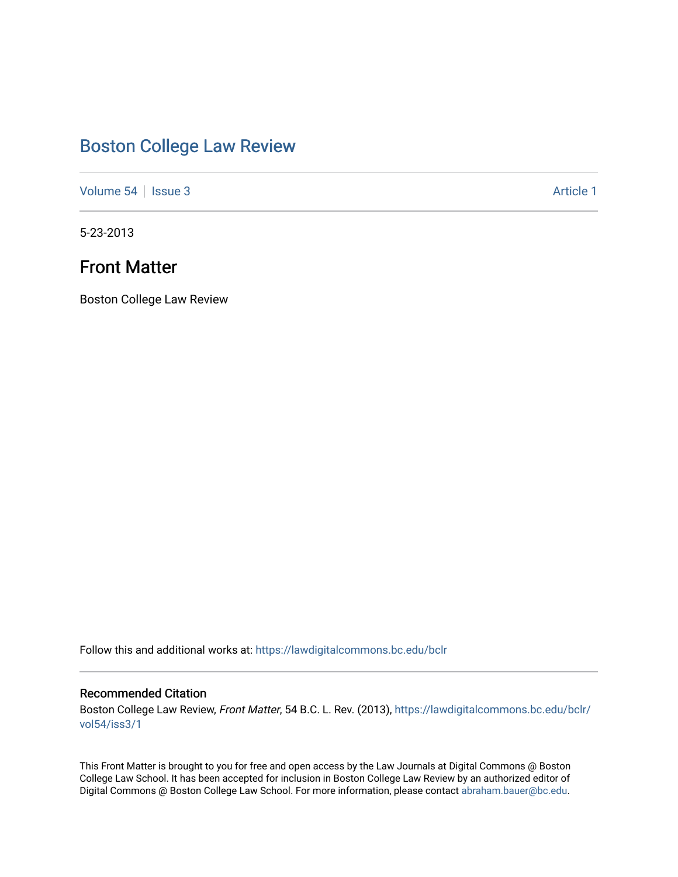# [Boston College Law Review](https://lawdigitalcommons.bc.edu/bclr)

[Volume 54](https://lawdigitalcommons.bc.edu/bclr/vol54) | [Issue 3](https://lawdigitalcommons.bc.edu/bclr/vol54/iss3) Article 1

5-23-2013

# Front Matter

Boston College Law Review

Follow this and additional works at: [https://lawdigitalcommons.bc.edu/bclr](https://lawdigitalcommons.bc.edu/bclr?utm_source=lawdigitalcommons.bc.edu%2Fbclr%2Fvol54%2Fiss3%2F1&utm_medium=PDF&utm_campaign=PDFCoverPages) 

## Recommended Citation

Boston College Law Review, Front Matter, 54 B.C. L. Rev. (2013), [https://lawdigitalcommons.bc.edu/bclr/](https://lawdigitalcommons.bc.edu/bclr/vol54/iss3/1?utm_source=lawdigitalcommons.bc.edu%2Fbclr%2Fvol54%2Fiss3%2F1&utm_medium=PDF&utm_campaign=PDFCoverPages) [vol54/iss3/1](https://lawdigitalcommons.bc.edu/bclr/vol54/iss3/1?utm_source=lawdigitalcommons.bc.edu%2Fbclr%2Fvol54%2Fiss3%2F1&utm_medium=PDF&utm_campaign=PDFCoverPages)

This Front Matter is brought to you for free and open access by the Law Journals at Digital Commons @ Boston College Law School. It has been accepted for inclusion in Boston College Law Review by an authorized editor of Digital Commons @ Boston College Law School. For more information, please contact [abraham.bauer@bc.edu](mailto:abraham.bauer@bc.edu).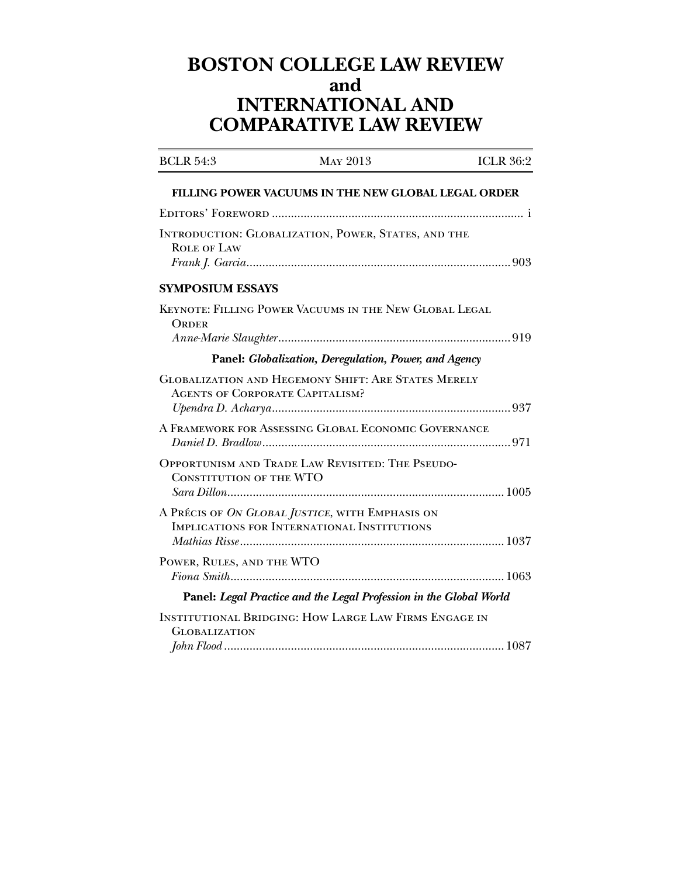# **BOSTON COLLEGE LAW REVIEW and INTERNATIONAL AND COMPARATIVE LAW REVIEW**

| <b>BCLR 54:3</b>                       | <b>MAY 2013</b>                                                                                | <b>ICLR 36:2</b> |
|----------------------------------------|------------------------------------------------------------------------------------------------|------------------|
|                                        | <b>FILLING POWER VACUUMS IN THE NEW GLOBAL LEGAL ORDER</b>                                     |                  |
|                                        |                                                                                                |                  |
| <b>ROLE OF LAW</b>                     | INTRODUCTION: GLOBALIZATION, POWER, STATES, AND THE                                            |                  |
| <b>SYMPOSIUM ESSAYS</b>                |                                                                                                |                  |
| <b>ORDER</b>                           | KEYNOTE: FILLING POWER VACUUMS IN THE NEW GLOBAL LEGAL                                         |                  |
|                                        | Panel: Globalization, Deregulation, Power, and Agency                                          |                  |
| <b>AGENTS OF CORPORATE CAPITALISM?</b> | <b>GLOBALIZATION AND HEGEMONY SHIFT: ARE STATES MERELY</b>                                     |                  |
|                                        | A FRAMEWORK FOR ASSESSING GLOBAL ECONOMIC GOVERNANCE                                           |                  |
| <b>CONSTITUTION OF THE WTO</b>         | OPPORTUNISM AND TRADE LAW REVISITED: THE PSEUDO-                                               |                  |
|                                        | A PRÉCIS OF ON GLOBAL JUSTICE, WITH EMPHASIS ON<br>IMPLICATIONS FOR INTERNATIONAL INSTITUTIONS |                  |
| POWER, RULES, AND THE WTO              |                                                                                                |                  |
|                                        | Panel: Legal Practice and the Legal Profession in the Global World                             |                  |
| <b>GLOBALIZATION</b>                   | <b>INSTITUTIONAL BRIDGING: HOW LARGE LAW FIRMS ENGAGE IN</b>                                   |                  |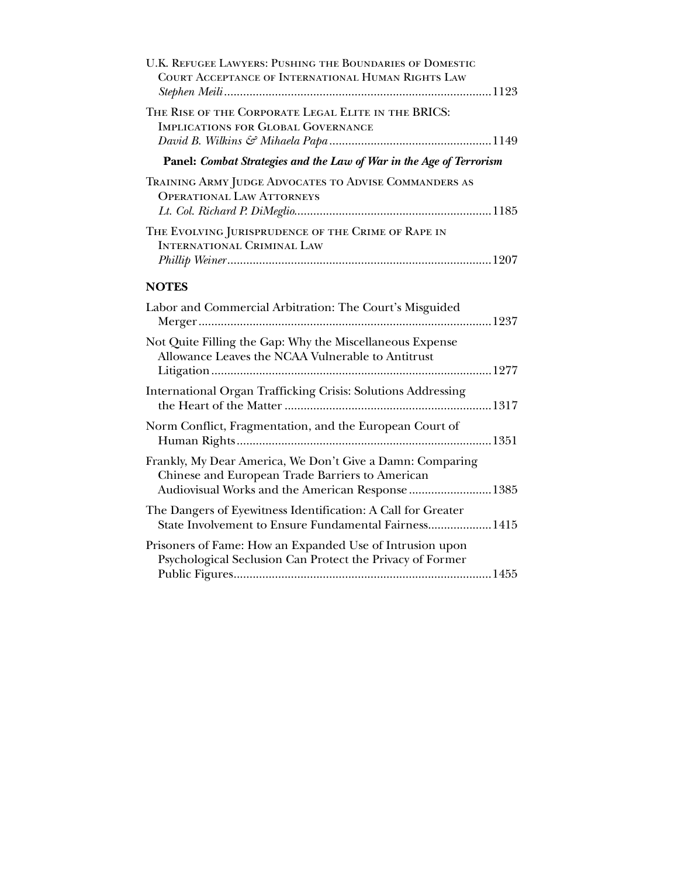| U.K. REFUGEE LAWYERS: PUSHING THE BOUNDARIES OF DOMESTIC<br>COURT ACCEPTANCE OF INTERNATIONAL HUMAN RIGHTS LAW                                                    |  |
|-------------------------------------------------------------------------------------------------------------------------------------------------------------------|--|
| THE RISE OF THE CORPORATE LEGAL ELITE IN THE BRICS:<br>IMPLICATIONS FOR GLOBAL GOVERNANCE                                                                         |  |
| Panel: Combat Strategies and the Law of War in the Age of Terrorism                                                                                               |  |
| TRAINING ARMY JUDGE ADVOCATES TO ADVISE COMMANDERS AS<br><b>OPERATIONAL LAW ATTORNEYS</b>                                                                         |  |
| THE EVOLVING JURISPRUDENCE OF THE CRIME OF RAPE IN<br><b>INTERNATIONAL CRIMINAL LAW</b>                                                                           |  |
| <b>NOTES</b>                                                                                                                                                      |  |
| Labor and Commercial Arbitration: The Court's Misguided                                                                                                           |  |
| Not Quite Filling the Gap: Why the Miscellaneous Expense<br>Allowance Leaves the NCAA Vulnerable to Antitrust                                                     |  |
| International Organ Trafficking Crisis: Solutions Addressing                                                                                                      |  |
| Norm Conflict, Fragmentation, and the European Court of                                                                                                           |  |
| Frankly, My Dear America, We Don't Give a Damn: Comparing<br>Chinese and European Trade Barriers to American<br>Audiovisual Works and the American Response  1385 |  |
| The Dangers of Eyewitness Identification: A Call for Greater<br>State Involvement to Ensure Fundamental Fairness 1415                                             |  |
| Prisoners of Fame: How an Expanded Use of Intrusion upon<br>Psychological Seclusion Can Protect the Privacy of Former                                             |  |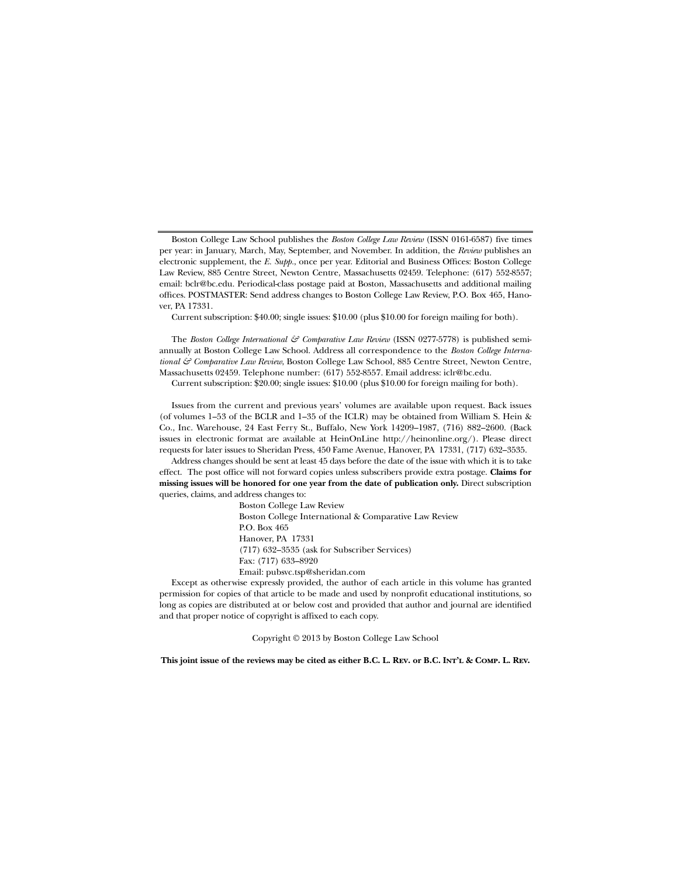Boston College Law School publishes the *Boston College Law Review* (ISSN 0161-6587) five times per year: in January, March, May, September, and November. In addition, the *Review* publishes an electronic supplement, the *E. Supp.*, once per year. Editorial and Business Offices: Boston College Law Review, 885 Centre Street, Newton Centre, Massachusetts 02459. Telephone: (617) 552-8557; email: bclr@bc.edu. Periodical-class postage paid at Boston, Massachusetts and additional mailing offices. POSTMASTER: Send address changes to Boston College Law Review, P.O. Box 465, Hanover, PA 17331.

Current subscription: \$40.00; single issues: \$10.00 (plus \$10.00 for foreign mailing for both).

The *Boston College International & Comparative Law Review* (ISSN 0277-5778) is published semiannually at Boston College Law School. Address all correspondence to the *Boston College International & Comparative Law Review*, Boston College Law School, 885 Centre Street, Newton Centre, Massachusetts 02459. Telephone number: (617) 552-8557. Email address: iclr@bc.edu.

Current subscription: \$20.00; single issues: \$10.00 (plus \$10.00 for foreign mailing for both).

Issues from the current and previous years' volumes are available upon request. Back issues (of volumes 1–53 of the BCLR and 1–35 of the ICLR) may be obtained from William S. Hein & Co., Inc. Warehouse, 24 East Ferry St., Buffalo, New York 14209–1987, (716) 882–2600. (Back issues in electronic format are available at HeinOnLine http://heinonline.org/). Please direct requests for later issues to Sheridan Press, 450 Fame Avenue, Hanover, PA 17331, (717) 632–3535.

 Address changes should be sent at least 45 days before the date of the issue with which it is to take effect. The post office will not forward copies unless subscribers provide extra postage. **Claims for missing issues will be honored for one year from the date of publication only.** Direct subscription queries, claims, and address changes to:

> Boston College Law Review Boston College International & Comparative Law Review P.O. Box 465 Hanover, PA 17331 (717) 632–3535 (ask for Subscriber Services) Fax: (717) 633–8920 Email: pubsvc.tsp@sheridan.com

 Except as otherwise expressly provided, the author of each article in this volume has granted permission for copies of that article to be made and used by nonprofit educational institutions, so long as copies are distributed at or below cost and provided that author and journal are identified and that proper notice of copyright is affixed to each copy.

Copyright © 2013 by Boston College Law School

**This joint issue of the reviews may be cited as either B.C. L. Rev. or B.C. Int'l & Comp. L. Rev.**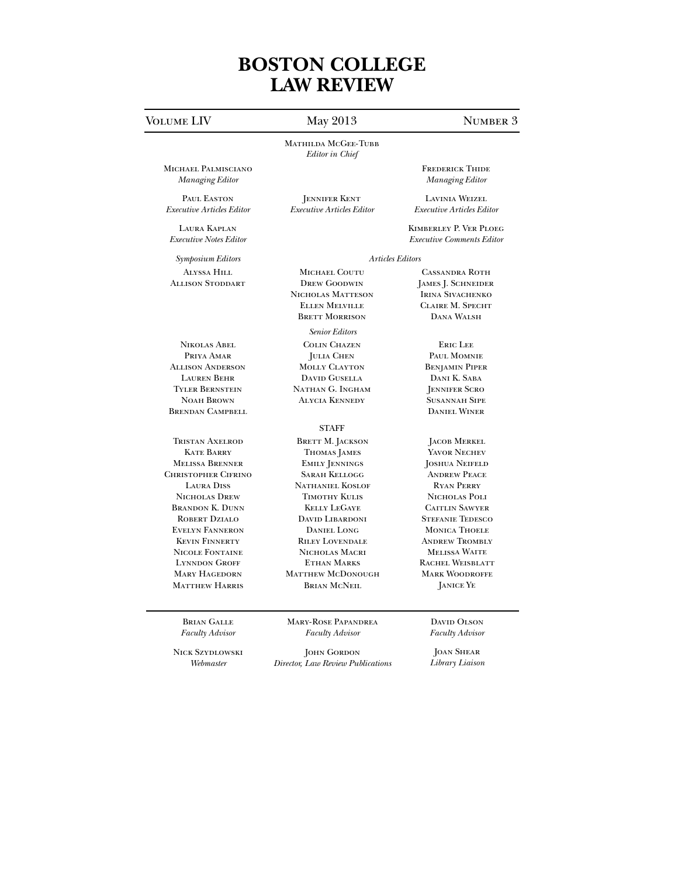# **BOSTON COLLEGE LAW REVIEW**

## VOLUME LIV May 2013 NUMBER 3

MATHILDA MCGEE-TUBB *Editor in Chief*

Jennifer Kent *Executive Articles Editor* 

Michael Palmisciano *Managing Editor*

PAUL EASTON *Executive Articles Editor*

Laura Kaplan *Executive Notes Editor*

*Symposium Editors Articles Editors*  Alyssa Hill Allison Stoddart

Nikolas Abel Priya Amar Allison Anderson Lauren Behr Tyler Bernstein Noah Brown Brendan Campbell

Tristan Axelrod **KATE BARRY** Melissa Brenner Christopher Cifrino Laura Diss Nicholas Drew Brandon K. Dunn Robert Dzialo Evelyn Fanneron Kevin Finnerty Nicole Fontaine Lynndon Groff Mary Hagedorn Matthew Harris

> Brian Galle *Faculty Advisor*

Nick Szydlowski *Webmaster*

Mary-Rose Papandrea *Faculty Advisor*

JOHN GORDON *Director, Law Review Publications* Frederick Thide *Managing Editor* 

Lavinia Weizel *Executive Articles Editor* 

Kimberley P. Ver Ploeg *Executive Comments Editor* 

Michael Coutu Drew Goodwin Nicholas Matteson Ellen Melville Brett Morrison

*Senior Editors* 

Colin Chazen Julia Chen Molly Clayton David Gusella Nathan G. Ingham Alycia Kennedy

### **STAFF**

BRETT M. JACKSON Thomas James Emily Jennings Sarah Kellogg Nathaniel Koslof Timothy Kulis Kelly LeGaye DAVID LIBARDONI Daniel Long Riley Lovendale Nicholas Macri Ethan Marks MATTHEW MCDONOUGH Brian McNeil

> DAVID OLSON *Faculty Advisor*

JOAN SHEAR *Library Liaison*

Cassandra Roth James J. Schneider Irina Sivachenko Claire M. Specht Dana Walsh

Eric Lee Paul Momnie Benjamin Piper Dani K. Saba Jennifer Scro Susannah Sipe Daniel Winer

Jacob Merkel Yavor Nechev Joshua Neifeld Andrew Peace Ryan Perry Nicholas Poli Caitlin Sawyer Stefanie Tedesco Monica Thoele ANDREW TROMBLY Melissa Waite Rachel Weisblatt Mark Woodroffe Janice Ye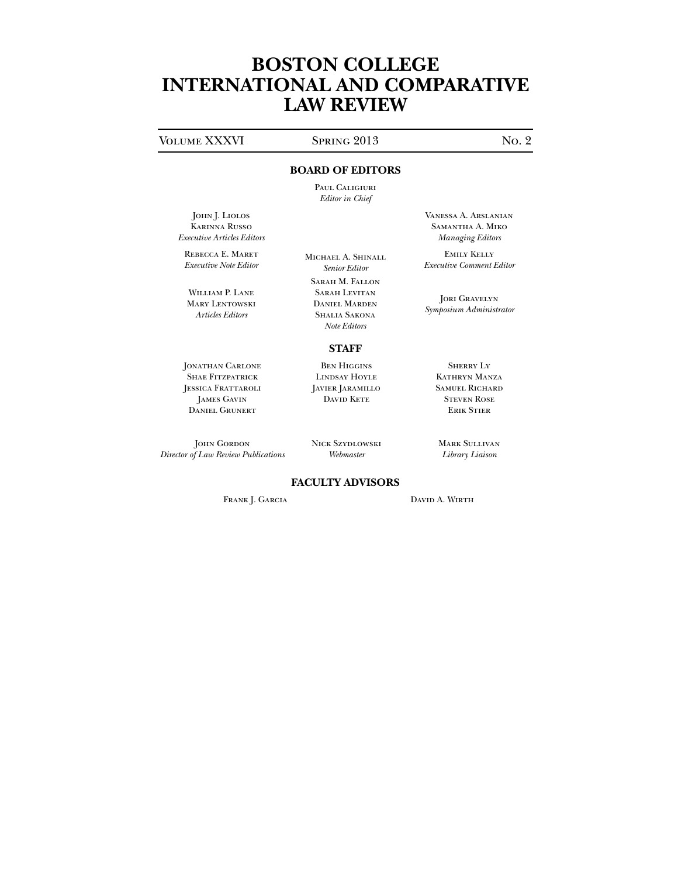# **BOSTON COLLEGE INTERNATIONAL AND COMPARATIVE LAW REVIEW**

## VOLUME XXXVI SPRING 2013 NO. 2

## **BOARD OF EDITORS**

Paul Caligiuri *Editor in Chief*

John J. Liolos Karinna Russo *Executive Articles Editors*

Rebecca E. Maret *Executive Note Editor*

William P. Lane Mary Lentowski *Articles Editors* 

Michael A. Shinall *Senior Editor* 

Sarah M. Fallon Sarah Levitan Daniel Marden Shalia Sakona *Note Editors*

## **STAFF** Ben Higgins

JONATHAN CARLONE SHAE FITZPATRICK JESSICA FRATTAROLI James Gavin Daniel Grunert

JOHN GORDON *Director of Law Review Publications* Javier Jaramillo David Kete

Lindsay Hoyle

Nick Szydlowski *Webmaster*

Mark Sullivan *Library Liaison*

Vanessa A. Arslanian Samantha A. Miko *Managing Editors*

Emily Kelly *Executive Comment Editor*

JORI GRAVELYN *Symposium Administrator*

> Sherry Ly Kathryn Manza Samuel Richard Steven Rose Erik Stier

## **FACULTY ADVISORS**

FRANK J. GARCIA DAVID A. WIRTH